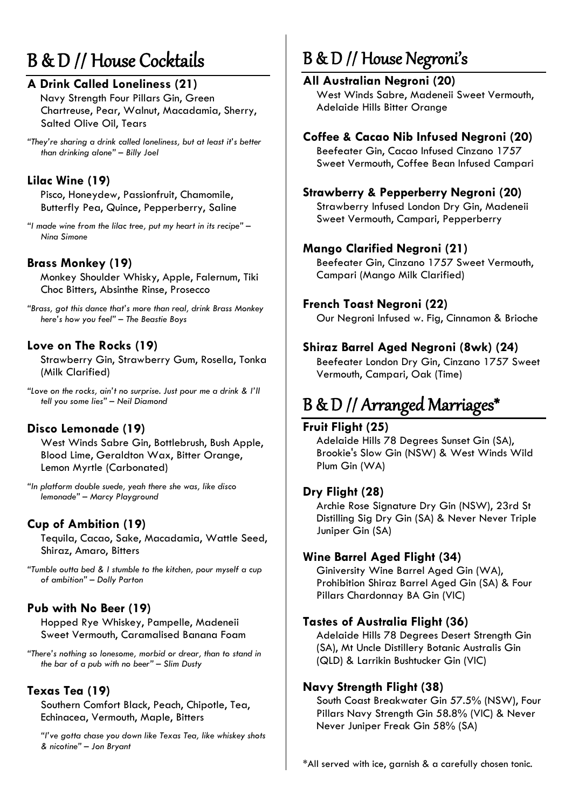# B & D // House Cocktails

# **A Drink Called Loneliness (21)**

Navy Strength Four Pillars Gin, Green Chartreuse, Pear, Walnut, Macadamia, Sherry, Salted Olive Oil, Tears

*"They're sharing a drink called loneliness, but at least it's better than drinking alone" – Billy Joel*

### **Lilac Wine (19)**

Pisco, Honeydew, Passionfruit, Chamomile, Butterfly Pea, Quince, Pepperberry, Saline

*"I made wine from the lilac tree, put my heart in its recipe" – Nina Simone*

# **Brass Monkey (19)**

Monkey Shoulder Whisky, Apple, Falernum, Tiki Choc Bitters, Absinthe Rinse, Prosecco

*"Brass, got this dance that's more than real, drink Brass Monkey here's how you feel" – The Beastie Boys*

### **Love on The Rocks (19)**

Strawberry Gin, Strawberry Gum, Rosella, Tonka (Milk Clarified)

*"Love on the rocks, ain't no surprise. Just pour me a drink & I'll tell you some lies" – Neil Diamond*

### **Disco Lemonade (19)**

West Winds Sabre Gin, Bottlebrush, Bush Apple, Blood Lime, Geraldton Wax, Bitter Orange, Lemon Myrtle (Carbonated)

*"In platform double suede, yeah there she was, like disco lemonade" – Marcy Playground*

### **Cup of Ambition (19)**

Tequila, Cacao, Sake, Macadamia, Wattle Seed, Shiraz, Amaro, Bitters

*"Tumble outta bed & I stumble to the kitchen, pour myself a cup of ambition" – Dolly Parton*

### **Pub with No Beer (19)**

Hopped Rye Whiskey, Pampelle, Madeneii Sweet Vermouth, Caramalised Banana Foam

*"There's nothing so lonesome, morbid or drear, than to stand in the bar of a pub with no beer" – Slim Dusty*

### **Texas Tea (19)**

Southern Comfort Black, Peach, Chipotle, Tea, Echinacea, Vermouth, Maple, Bitters

*"I've gotta chase you down like Texas Tea, like whiskey shots & nicotine" – Jon Bryant*

# B & D // House Negroni's

### **All Australian Negroni (20)**

West Winds Sabre, Madeneii Sweet Vermouth, Adelaide Hills Bitter Orange

### **Coffee & Cacao Nib Infused Negroni (20)**

Beefeater Gin, Cacao Infused Cinzano 1757 Sweet Vermouth, Coffee Bean Infused Campari

### **Strawberry & Pepperberry Negroni (20)**

Strawberry Infused London Dry Gin, Madeneii Sweet Vermouth, Campari, Pepperberry

### **Mango Clarified Negroni (21)**

Beefeater Gin, Cinzano 1757 Sweet Vermouth, Campari (Mango Milk Clarified)

### **French Toast Negroni (22)**

Our Negroni Infused w. Fig, Cinnamon & Brioche

### **Shiraz Barrel Aged Negroni (8wk) (24)**

Beefeater London Dry Gin, Cinzano 1757 Sweet Vermouth, Campari, Oak (Time)

# B & D // Arranged Marriages\*

#### **Fruit Flight (25)**

Adelaide Hills 78 Degrees Sunset Gin (SA), Brookie's Slow Gin (NSW) & West Winds Wild Plum Gin (WA)

#### **Dry Flight (28)**

Archie Rose Signature Dry Gin (NSW), 23rd St Distilling Sig Dry Gin (SA) & Never Never Triple Juniper Gin (SA)

### **Wine Barrel Aged Flight (34)**

Giniversity Wine Barrel Aged Gin (WA), Prohibition Shiraz Barrel Aged Gin (SA) & Four Pillars Chardonnay BA Gin (VIC)

#### **Tastes of Australia Flight (36)**

Adelaide Hills 78 Degrees Desert Strength Gin (SA), Mt Uncle Distillery Botanic Australis Gin (QLD) & Larrikin Bushtucker Gin (VIC)

### **Navy Strength Flight (38)**

South Coast Breakwater Gin 57.5% (NSW), Four Pillars Navy Strength Gin 58.8% (VIC) & Never Never Juniper Freak Gin 58% (SA)